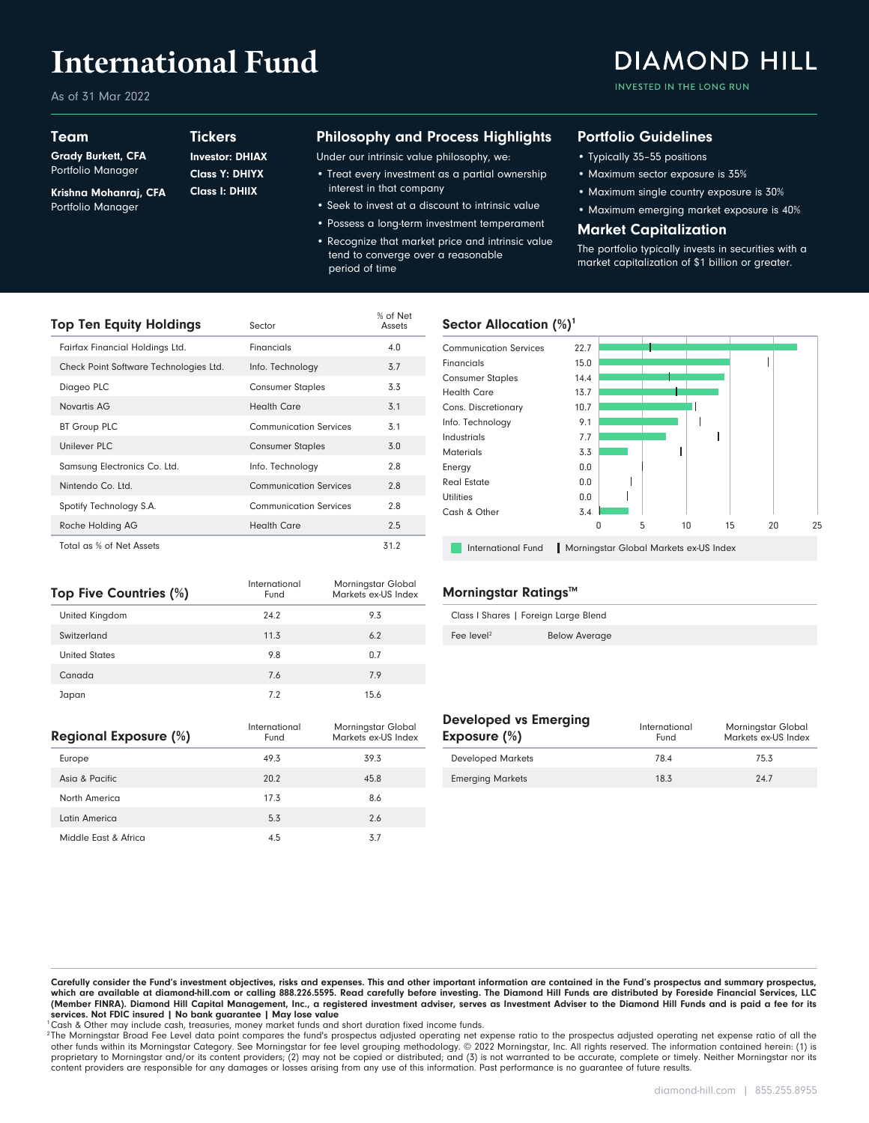# **International Fund**

As of 31 Mar 2022

### Team

Grady Burkett, CFA

### **Tickers**

Krishna Mohanraj, CFA Portfolio Manager Portfolio Manager Class I: DHIIX Class Y: DHIYX Investor: DHIAX

#### Philosophy and Process Highlights

Under our intrinsic value philosophy, we:

- Treat every investment as a partial ownership interest in that company
- Seek to invest at a discount to intrinsic value
- Possess a long-term investment temperament • Recognize that market price and intrinsic value tend to converge over a reasonable period of time

#### Portfolio Guidelines

- Typically 35–55 positions
- Maximum sector exposure is 35%
- Maximum single country exposure is 30%
- Maximum emerging market exposure is 40%

#### Market Capitalization

The portfolio typically invests in securities with a market capitalization of \$1 billion or greater.

| <b>Top Ten Equity Holdings</b>         | Sector                        | % of Net<br>Assets |
|----------------------------------------|-------------------------------|--------------------|
| Fairfax Financial Holdings Ltd.        | Financials                    | 4.0                |
| Check Point Software Technologies Ltd. | Info. Technology              | 3.7                |
| Diageo PLC                             | <b>Consumer Staples</b>       | 3.3                |
| Novartis AG                            | <b>Health Care</b>            | 3.1                |
| <b>BT Group PLC</b>                    | <b>Communication Services</b> | 3.1                |
| <b>Unilever PLC</b>                    | <b>Consumer Staples</b>       | 3.0                |
| Samsung Electronics Co. Ltd.           | Info. Technology              | 2.8                |
| Nintendo Co. Ltd.                      | <b>Communication Services</b> | 2.8                |
| Spotify Technology S.A.                | <b>Communication Services</b> | 2.8                |
| Roche Holding AG                       | <b>Health Care</b>            | 2.5                |
| Total as % of Net Assets               |                               | 31.2               |

#### Sector Allocation  $(\%)^1$



| Top Five Countries (%) | International<br>Fund | Morningstar Global<br>Markets ex-US Index |
|------------------------|-----------------------|-------------------------------------------|
| United Kingdom         | 24.2                  | 9.3                                       |
| Switzerland            | 11.3                  | 6.2                                       |
| <b>United States</b>   | 9.8                   | 0.7                                       |
| Canada                 | 7.6                   | 7.9                                       |
| Japan                  | 7.2                   | 15.6                                      |

| Regional Exposure (%) | International<br>Fund | Morningstar Global<br>Markets ex-US Index |
|-----------------------|-----------------------|-------------------------------------------|
| Europe                | 49.3                  | 39.3                                      |
| Asia & Pacific        | 20.2                  | 45.8                                      |
| North America         | 17.3                  | 8.6                                       |
| Latin America         | 5.3                   | 2.6                                       |
| Middle East & Africa  | 4.5                   | 3.7                                       |

#### Morningstar Ratings™

| Class I Shares   Foreign Large Blend |                      |  |
|--------------------------------------|----------------------|--|
| Fee level <sup>2</sup>               | <b>Below Average</b> |  |

#### Developed vs Emerging

| Exposure (%)             | International<br>Fund | Morningstar Global<br>Markets ex-US Index |
|--------------------------|-----------------------|-------------------------------------------|
| <b>Developed Markets</b> | 78.4                  | 75.3                                      |
| <b>Emerging Markets</b>  | 18.3                  | 24.7                                      |

Carefully consider the Fund's investment objectives, risks and expenses. This and other important information are contained in the Fund's prospectus and summary prospectus, which are available at diamond-hill.com or calling 888.226.5595. Read carefully before investing. The Diamond Hill Funds are distributed by Foreside Financial Services, LLC (Member FINRA). Diamond Hill Capital Management, Inc., a registered investment adviser, serves as Investment Adviser to the Diamond Hill Funds and is paid a fee for its services. Not FDIC insured | No bank guarantee | May lose value

<sup>1</sup>Cash & Other may include cash, treasuries, money market funds and short duration fixed income funds.

2 The Morningstar Broad Fee Level data point compares the fund's prospectus adjusted operating net expense ratio to the prospectus adjusted operating net expense ratio of all the other funds within its Morningstar Category. See Morningstar for fee level grouping methodology. © 2022 Morningstar, Inc. All rights reserved. The information contained herein: (1) is proprietary to Morningstar and/or its content providers; (2) may not be copied or distributed; and (3) is not warranted to be accurate, complete or timely. Neither Morningstar nor its content providers are responsible for any damages or losses arising from any use of this information. Past performance is no guarantee of future results.

## **DIAMOND HILL**

INVESTED IN THE LONG RUN